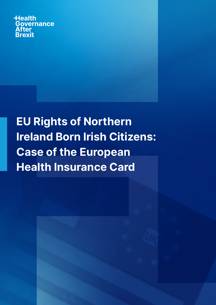**Health Governance After Brexit** 

EU Rights of Northern Ireland Born Irish Citizens: Case of the European Health Insurance Card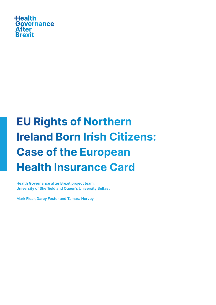

# EU Rights of Northern Ireland Born Irish Citizens: Case of the European Health Insurance Card

Health Governance after Brexit project team, University of Sheffield and Queen's University Belfast

Mark Flear, Darcy Foster and Tamara Hervey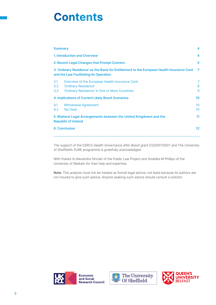# **Contents**

| <b>Summary</b>                                                                                                                       |                                                                                                                         | 4                                  |
|--------------------------------------------------------------------------------------------------------------------------------------|-------------------------------------------------------------------------------------------------------------------------|------------------------------------|
|                                                                                                                                      | <b>1. Introduction and Overview</b><br>2. Recent Legal Changes that Prompt Concern                                      |                                    |
|                                                                                                                                      |                                                                                                                         |                                    |
| 3. 'Ordinary Residence' as the Basis for Entitlement to the European Health Insurance Card<br>and the Law Facilitating its Operation |                                                                                                                         | 7                                  |
| 3.1<br>3.2<br>3.3                                                                                                                    | Overview of the European Health Insurance Card<br>'Ordinary Residence'<br>'Ordinary Residence' in One or More Countries | 7<br>8<br>9                        |
|                                                                                                                                      | <b>4. Implications of Current Likely Brexit Scenarios</b>                                                               |                                    |
| 4.1<br>4.2                                                                                                                           | <b>Withdrawal Agreement</b><br>'No Deal'                                                                                | 10 <sup>°</sup><br>10 <sup>°</sup> |
|                                                                                                                                      | 5. Bilateral Legal Arrangements between the United Kingdowm and the<br><b>Republic of Ireland</b>                       | 11                                 |
|                                                                                                                                      | <b>6. Conclusion</b>                                                                                                    |                                    |

The support of the ESRC's Health Governance after Brexit grant ES/S00730X/1 and The University of Sheffield's SURE programme is gratefully acknowledged.

With thanks to Alexandra Sinclair of the Public Law Project and Andelka M Phillips of the University of Waikato for their help and expertise.

Note: This analysis must not be treated as formal legal advice, not least because its authors are not insured to give such advice. Anyone seeking such advice should consult a solicitor.





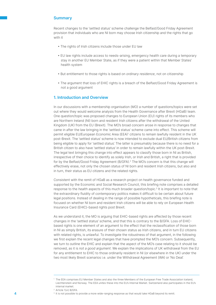# **Summary**

Recent changes to the 'settled status' scheme challenge the Belfast/Good Friday Agreement provision that individuals who are NI born may choose Irish citizenship and the rights that go with it

- The rights of Irish citizens include those under EU law
- EU law rights include access to needs-arising, emergency health care during a temporary stay in another EU Member State, as if they were a patient within that Member States' health system
- But entitlement to those rights is based on ordinary residence, not on citizenship
- The argument that loss of EHIC rights is a breach of the Belfast/Good Friday Agreement is not a good argument

## 1. Introduction and Overview

In our discussions with a membership organisation (MO) a number of questions/topics were set out where they would welcome analysis from the Health Governance after Brexit (HGaB) team. One question/topic was proposed changes to European Union (EU) rights of its members who are Northern Ireland (NI) born and resident Irish citizens after the withdrawal of the United Kingdom (UK) from the EU (Brexit). The MO's broad concern arose in response to changes that came in after the law bringing in the 'settled status' scheme came into effect. This scheme will permit eligible EU/European Economic Area (EEA)<sup>1</sup> citizens to remain lawfully resident in the UK post-Brexit. The 'settled status' scheme is now intended to exclude dual EU/British citizens from being eligible to apply for 'settled status'. The latter is presumably because there is no need for a British citizen to also have 'settled status' in order to remain lawfully within the UK post-Brexit. The legal text bringing this change into effect appears to classify those born in NI as British, irrespective of their choice to identify as solely Irish, or Irish and British, a right that is provided for by the Belfast/Good Friday Agreement (B/GFA).<sup>2</sup> The MO's concern is that this change will effectively erase, not only the chosen status of NI born and resident Irish citizens, but also and in turn, their status as EU citizens and the related rights.

Consistent with the remit of HGaB as a research project on health governance funded and supported by the Economic and Social Research Council, this briefing note comprises a detailed response to the *health* aspects of this much broader question/topic.<sup>3</sup> It is important to note that the extraordinary fluidity of contemporary politics makes it difficult to be certain about future legal positions. Instead of dealing in the range of possible hypotheticals, this briefing note is focused on whether NI born and resident Irish citizens will be able to rely on European Health Insurance Card (EHIC)-based rights post Brexit.

As we understand it, the MO is arguing that EHIC-based rights are affected by those recent changes in the 'settled status' scheme, and that this is contrary to the B/GFA. Loss of EHICbased rights is one element of an argument to the effect that the reclassification of those born in NI as simply British, its erasure of their chosen status as Irish citizens, and in turn EU citizens with related rights, is unlawful. To investigate the robustness of that argument, in the following we first explain the recent legal changes that have prompted the MO's concern. Subsequently, we turn to outline the EHIC and explain that the aspect of the MO's case relating to it should be removed, as it is not a good argument. We explain the implications of UK withdrawal from the EU for any entitlement to EHIC to those ordinarily resident in NI (or elsewhere in the UK) under the two most likely Brexit scenarios i.e. under the Withdrawal Agreement (WA) or 'No Deal'.

<sup>1</sup> The EEA comprises EU Member States and also the three Members of the European Free Trade Association Iceland, Liechtenstein and Norway. The EEA unites these into the EU's Internal Market. Switzerland also participates in the EU's internal market.

<sup>2</sup> Article 1(vi) B/GFA.

**<sup>4</sup> 1** It is not possible to provide a more wide-ranging response as that would take HGaB beyond its remit.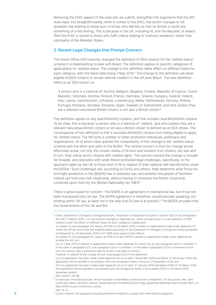Removing the EHIC aspect of the case will, we submit, strengthen the arguments that the MO does have. Put straightforwardly, when it comes to the EHIC, the recent changes to UK domestic law relating to those born in NI but who identify as Irish (or British or both) are something of a red herring. This is because in the UK, including NI, and the Republic of Ireland (RoI) the EHIC is issued to those who fulfil criteria relating to 'ordinary residence' rather than nationality of the Member States.

# 2. Recent Legal Changes that Prompt Concern

The Home Office (HO) recently changed the definition of 'EEA citizens' for the 'settled status' scheme it is implementing to deal with Brexit. The definition applies to specific categories of applications for 'settled status'. The change to the definition takes effect on different dates for each category, with the latest date being 1 May 2019.<sup>4</sup> The change to the definition will allow eligible EU/EEA citizens to remain lawfully resident in the UK post-Brexit. The new definition refers to an 'EEA citizen' as:

'a person who is a national of: Austria, Belgium, Bulgaria, Croatia, Republic of Cyprus, Czech Republic, Denmark, Estonia, Finland, France, Germany, Greece, Hungary, Iceland, Ireland, Italy, Latvia, Liechtenstein, Lithuania, Luxembourg, Malta, Netherlands, Norway, Poland, Portugal, Romania, Slovakia, Slovenia, Spain, Sweden or Switzerland, and who (unless they are a relevant naturalised British citizen) is not also a British citizen'.5

The definition applies to any dual British/EU citizens, and that includes dual British/Irish citizens. To be clear, this is because 'a person who is a national of…Ireland…and who (unless they are a relevant naturalised British citizen) is not also a British citizen' is defined as an EEA citizen. The consequence of this definition is that it excludes British/EU citizens from being eligible to apply for 'settled status'. The MO joins a number of other prominent individuals, politicians and organisations, all of whom have queried the compatibility of this change to the 'settled status' scheme with the letter and spirit of the B/GFA. The central concern is that the change would effectively erase, not only the chosen status of NI born and resident Irish citizens, but also and in turn, their status as EU citizens with related rights. The concern around the change is actually far broader, and resonates with wider Brexit-prompted legal challenges, specifically, to the approach taken by the UK to those born in NI in respect of their national self-identification under the B/GFA.<sup>6</sup> Such challenges will, according to Curtis and others: 'help determine what force the birthright protection in the [B/GFA] has in domestic law, and whether the people of Northern Ireland can hold only Irish citizenship, without having to renounce the British citizenship conferred upon them by the [British Nationality Act 1981]!7

There is good cause for concern. The B/GFA is an agreement in international law, but it has not been transposed into UK law. The B/GFA agreement is therefore, constitutionally speaking, not binding within UK law, at least not in the way that EU law is at present.<sup>8</sup> The B/GFA provides that the Governments of the UK and RoI:

<sup>5</sup> Ibid, Annex 1, 45-46.

<sup>7</sup> Ibid, 14-15.

<sup>4</sup> Under Statement of Changes in Immigration Rules. Presented to Parliament Pursuant to Section 3(2) of the Immigration Act 1971 (7 March 2019), 2-3, the relevant changes to Appendix EU, which include Annex 1 on the definition of 'EEA citizens', come into effect on different dates for each category of application:

<sup>&#</sup>x27;(i) subject to sub-paragraph (iii), below, at 0700 on 30 March 2019 in relation to applications made under Appendix EU within the UK (at which time the Implementation provisions in the Statement of Changes in Immigration Rules presented to Parliament on 20 December 2018 in HC 1849 shall cease to have effect);

<sup>(</sup>ii) subject to sub-paragraph (iii), below, at 0700 on 9 April 2019 in relation to applications made under Appendix EU outside the UK; and

<sup>(</sup>iii) on 1 May 2019 in relation to applications made under Appendix EU which rely on sub-paragraph (a)(v) in condition 3 in the table in paragraph EU11, sub-paragraph (a)(v) in condition 1 in the table in paragraph EU14 or otherwise on the entry for 'person with a Zambrano right to reside' in the table at Annex 1.

However, in relation to the change set out in paragraph EU2 of this statement:

<sup>(</sup>i) if an application has been made under Appendix EU on or after 1 November 2018 and before 22 December 2018, the application will be decided in accordance with the Immigration Rules in force on 21 December 2018; and

<sup>(</sup>ii) if an application has been made under Appendix EU on or after 21 January 2019 and before 0700 on 30 March 2019, the application will be decided in accordance with the Immigration Rules in force before 0700 on 30 March 2019' (emphasis added).

<sup>6</sup> In particular, the DeSouza case, which has been heard before a tribunal and is unreported. For discussion, see: John Curtis and others, Northern Ireland, Citizenship and the Belfast/Good Friday Agreement (Briefing Paper Number 8571, 23 May 2019) House of Commons Library.

<sup>5</sup> <sup>8</sup> Courts interpret UK legislation assuming Parliament intends to comply with international obligations.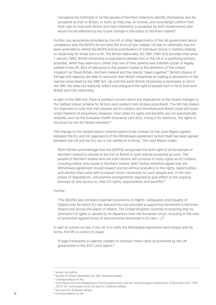'recognise the birthright of all the people of Northern Ireland to identify themselves and be accepted as Irish or British, or both, as they may so choose, and accordingly confirm that their right to hold both British and Irish citizenship is accepted by both Governments and would not be affected by any future change in the status of Northern Ireland.<sup>9</sup>

Further, any assurances provided by the HO or other departments of the UK government about compliance with the B/GFA do not have the force of law. Indeed, UK law on nationality has not been amended to reflect the B/GFA and its prioritisation of individual choice in matters relating to citizenship for those born in NI. The British Nationality Act 1981 (1981 Act) provides that since 1 January 1983, British citizenship is acquired by people born in the UK or a qualifying territory provided, when they were born, either that one of their parents was a British citizen or legally settled in the UK. Also of relevance to the present matter is the definition of 'the United Kingdom' as 'Great Britain, Northern Ireland and the Islands, taken together.<sup>10</sup> British citizens of full age and capacity are able to renounce their British citizenship by making a declaration in the manner prescribed by the 1981 Act. Up until this point British citizenship is bestowed. In short, the 1981 Act does not explicitly reflect and safeguard the right of people born in NI to hold both British and Irish citizenship.

In light of the 1981 Act, there is justified concern about the implications of the recent changes to the 'settled status' scheme for NI born and resident Irish citizens post-Brexit. The MO has stated: 'It's important to note that Irish citizens are EU citizens and therefore post Brexit could still travel under freedom of movement. However, most other EU rights and benefits are not automatically retained, such as the European Health Insurance card [sic], voting in EU elections, the rights to be joined by non-EU family members.<sup>11</sup>

The change to the 'settled status' scheme seems to be contrary to the Joint Report agreed between the EU and UK negotiators of the Withdrawal Agreement (which itself has been agreed between the UK and the EU, but is not ratified or in force). The Joint Report notes:

'Both Parties acknowledge that the [B/GFA] recognises the birth right of all the people of Northern Ireland to choose to be Irish or British or both and be accepted as such. The people of Northern Ireland who are Irish citizens will continue to enjoy rights as EU citizens, including where they reside in Northern Ireland. Both Parties therefore agree that the Withdrawal Agreement should respect and be without prejudice to the rights, opportunities and identity that come with European Union citizenship for such people and, in the next phase of negotiations, will examine arrangements required to give effect to the ongoing exercise of, and access to, their EU rights, opportunities and benefits.<sup>12</sup>

#### Further:

'The [B/GFA] also includes important provisions on Rights, Safeguards and Equality of Opportunity for which EU law and practice has provided a supporting framework in Northern Ireland and across the island of Ireland. The United Kingdom commits to ensuring that no diminution of rights is caused by its departure from the European Union, including in the area of protection against forms of discrimination enshrined in EU law [...]<sup>13</sup>

In light of current UK law, if the UK is to ratify the Withdrawal Agreement and comply with its terms, the MO is correct to argue:

'A legal framework is urgently needed to maintain these rights as promised by the UK government in the 2017 Joint report.<sup>14</sup>

<sup>9</sup> Article 1(vi) B/GFA.

<sup>10</sup> Section 50 British Nationality Act 1981. Emphasis added.

<sup>&</sup>lt;sup>11</sup> Correspondence on file.

<sup>12</sup> Joint Report from the Negotiators of the European Union and the United Kingdom Government, 8 December 2017, TF50 (2017) 19 – Commission to EU 27, para 52. Emphasis added.

<sup>13</sup> Ibid, para 53. Emphasis added.

<sup>6</sup> <sup>14</sup> Correspondence on file.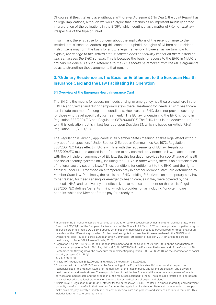Of course, if Brexit takes place without a Withdrawal Agreement ('No Deal'), the Joint Report has no legal implications, although we would argue that it stands as an important mutually agreed interpretation of the obligations in the B/GFA, which continue, as a matter of international law, irrespective of the type of Brexit.

In summary, there is cause for concern about the implications of the recent change to the 'settled status' scheme. Addressing this concern to uphold the rights of NI born and resident Irish citizens may form the basis for a future legal framework. However, as we turn now to explain, the change to the 'settled status' scheme does not actually impact on the question of who can access the EHIC scheme. This is because the basis for access to the EHIC in NI/UK is ordinary residence. As such, reference to the EHIC should be removed from the MO's arguments so as to strengthen those arguments that remain.

# 3. 'Ordinary Residence' as the Basis for Entitlement to the European Health Insurance Card and the Law Facilitating its Operation

#### 3.1 Overview of the European Health Insurance Card

The EHIC is the means for accessing 'needs arising' or emergency healthcare elsewhere in the EU/EEA and Switzerland during temporary stays there. Treatment for 'needs arising' healthcare can include treatment for long-term conditions. However, the EHIC does not provide coverage for those who travel specifically for treatment.<sup>15</sup> The EU law underpinning the EHIC is found in Regulation 883/2004/EC and Regulation 987/2009/EC.16 The EHIC itself is the document referred to in this legislation, but is in fact founded upon Decision S1, which is based on Article 72(a) Regulation 883/2004/EC.

The Regulation is 'directly applicable' in all Member States meaning it takes legal effect without any act of transposition.<sup>17</sup> Under Section 2 European Communities Act 1972, Regulation 883/2004/EC takes effect in UK law in line with the requirements of EU law. Regulation 883/2004/EC must be applied in preference to any contradictory domestic law, in accordance with the principle of supremacy of EU law. But this legislation provides for *coordination* of health and social security systems only, including the EHIC.<sup>18</sup> In other words, there is no harmonisation of national society security laws.19 Thus, conditions for entitlement to the EHIC, and the rights entailed under EHIC for those on a temporary stay in another Member State, are determined by Member State law. Put simply, the rule is that EHIC-holding EU citizens on a temporary stay have to be treated, for 'needs arising' or emergency health care, as if they were covered by the domestic NHS, and receive any 'benefits in kind' to medical treatment on that basis. Regulation 883/2004/EC defines 'benefits in kind' which it provides for, as including 'long-term care benefits' which the Member States pay for directly.<sup>20</sup>

<sup>&</sup>lt;sup>15</sup> In principle the S1 scheme applies to patients who are referred to a specialist provider in another Member State, while Directive 2011/24/EU of the European Parliament and of the Council of 9 March 2011 on the application of patients' rights in cross-border healthcare OJ L 88/45 applies when patients themselves choose to travel abroad for treatment. For an overview of the different ways in which EU law provides rights to access healthcare elsewhere in the EU/EEA and Switzerland, see: House of Lords, European Union Committee 13th Report of Session 2017–19, Brexit: reciprocal healthcare, HL Paper 107 (House of Lords, 2018).

<sup>&</sup>lt;sup>16</sup> Regulation (EC) No 883/2004 of the European Parliament and of the Council of 29 April 2004 on the coordination of social security systems OK L 166/1; Regulation (EC) No 987/2009 of the European Parliament and of the Council of 16 September 2009 laying down the procedure for implementing Regulation (EC) No 883/2004 on the coordination of social security systems OJ L 284/1.

<sup>17</sup> Article 288 TFEU.

<sup>18</sup> Article 19(1) Regulation 883/2004/EC and Article 25 Regulation 987/2009/EC.

<sup>19</sup> Consistent with Article 168(7) Treaty on the Functioning of the EU, which states 'Union action shall respect the responsibilities of the Member States for the definition of their health policy and for the organisation and delivery of health services and medical care. The responsibilities of the Member States shall include the management of health services and medical care and the allocation of the resources assigned to them. The measures referred to in paragraph 4(a) shall not affect national provisions on the donation or medical use of organs and blood'

<sup>20</sup>Article 1(va)(i) Regulation 883/2004/EC states: 'for the purposes of Title III, Chapter 1 (sickness, maternity and equivalent paternity benefits), benefits in kind provided for under the legislation of a Member State which are intended to supply, make available, pay directly or reimburse the cost of medical care and products and services ancillary to that care. This **7** includes long-term care benefits in kind'.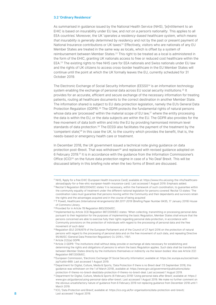#### 3.2 'Ordinary Residence'

As summarised in quidance issued by the National Health Service (NHS), '[e]ntitlement to an EHIC is based on insurability under EU law, and not on a person's nationality. This applies to all EEA countries'. Moreover, the UK 'operates a residency-based healthcare system, which means that insurability is generally determined by residency and not by the past or present payment of National Insurance contributions or UK taxes'.<sup>21</sup> Effectively, visitors who are nationals of any EU Member States are treated in the same way as locals, which is offset by a system of reimbursement between Member States.<sup>22</sup> This right to be treated as a local is administered in the form of the EHIC, granting UK nationals access to free or reduced cost healthcare within the EEA.23 The existing rights to free NHS care for EEA nationals and Swiss nationals under EU law and the rights of UK citizens to access cross-border healthcare in the EU Member States will continue until the point at which the UK formally leaves the EU, currently scheduled for 31 October 2019.

The Electronic Exchange of Social Security Information (EESSI) $^{24}$  is an information technology system enabling the exchange of personal data across EU social security institutions.<sup>25</sup> It provides for an accurate, efficient and secure exchange of the necessary information for treating patients, routing all healthcare documents to the correct destination in another Member State. The information shared is subject to EU data protection legislation, namely the EU's General Data Protection Regulation (GDPR).<sup>26</sup> The GDPR protects the fundamental rights of natural persons whose data are 'processed' within the material scope of EU law,<sup>27</sup> where the entity processing the data is within the EU, or the data subjects are within the EU. The GDPR also provides for the free movement of data both within and into the EU by providing harmonised minimum level standards of data protection.28 The EESSI also facilitates the payment of the treatment by the 'competent state'<sup>29</sup> in this case the UK, to the country which provides the benefit, that is, the needs-based or emergency health care or treatment.

In December 2018, the UK government issued a technical note giving guidance on data protection post-Brexit. That was withdrawn<sup>30</sup> and replaced with revised quidance adopted on 6 February 2019.31 It is in accordance with the guidance from the Information Commissioner's Office (ICO)<sup>32</sup> on the future data protection regime in case of a 'No Deal' Brexit. This will be discussed latterly in this briefing note when the two forms of Brexit are discussed.

<sup>21</sup> NHS, 'Apply for a free EHIC (European Health Insurance Card)', available at: https://www.nhs.uk/using-the-nhs/healthcareabroad/apply-for-a-free-ehic-european-health-insurance-card/. Last accessed 1 August 2019. Emphasis added.

<sup>&</sup>lt;sup>22</sup> Recital 5 Regulation 883/2004/EC states 'it is necessary, within the framework of such coordination, to guarantee within the community equality of treatment under the different national legislation for persons covered'. Recital 13 states: 'The coordination rules must guarantee that persons moving within the Community and their dependants and survivors retain the rights and the advantages acquired and in the course of being acquired'.

<sup>&</sup>lt;sup>23</sup>T Powell, Healthcare (International Arrangements) Bill 2017-2019 (Briefing Paper Number 8435, 17 January 2019) House of Commons Library.

<sup>24</sup> Provided for in Article 78 Regulation 883/2004/EC.

<sup>25</sup> Implemented by Article 3(3) Regulation 987/2009/EC states: 'When collecting, transmitting or processing personal data pursuant to their legislation for the purposes of implementing the basic Regulation, Member States shall ensure that the persons concerned are able to exercise fully their rights regarding personal data protection, in accordance with Community provisions on the protection of individuals with regard to the processing of personal data and the free movement of such data'.

<sup>&</sup>lt;sup>26</sup> Regulation (EU) 2016/679 of the European Parliament and of the Council of 27 April 2016 on the protection of natural persons with regard to the processing of personal data and on the free movement of such data, and repealing Directive 95/46/EC (General Data Protection Regulation) OJ 2016 L 119/1.

<sup>27</sup>Article 2(2)(a) GDPR.

<sup>&</sup>lt;sup>28</sup> Article 3 GDPR: 'The institutions shall without delay provide or exchange all data necessary for establishing and determining the rights and obligations of persons to whom the basic Regulation applies. Such data shall be transferred between Member States directly by the institutions themselves or indirectly via the liaison bodies'. Also see Article 2(2) Regulation 987/2009/EC.

<sup>29</sup> European Commission, 'Electronic Exchange Of Social Security Information', available at: https://ec.europa.eu/social/main. jsp?catId=869. Last accessed 1 August 2019.

<sup>&</sup>lt;sup>30</sup>Department for Digital, Culture, Media & Sports, 'Data Protection if there is no Brexit deal' (13 September 2018, this guidance was withdrawn on the 1 of March 2019), available at: https://www.gov.uk/government/publications/dataprotection-if-theres-no-brexit-deal/data-protection-if-theres-no-brexit-deal. Last accessed 1 August 2019.

<sup>31</sup> Department for Digital, Culture, Media & Sports (6 February 2019) 'Using personal data after Brexit', available at: https:// www.gov.uk/guidance/using-personal-data-after-brexit. Last accessed 1 August 2019. We make no further comment on the obvious unsatisfactory nature of guidance from 6 February 2019 not replacing guidance from December 2018 until 1 March 2019.

<sup>32</sup>ICO, 'Data Protection and Brexit', available at: https://ico.org.uk/for-organisations/data-protection-and-brexit/. 8 Last accessed 1 August 2019.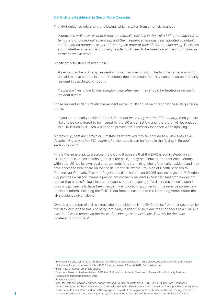#### 3.3 'Ordinary Residence' in One or More Countries

The NHS guidance refers to the following, which is taken from an official manual:

'A person is ordinarily resident if they are normally residing in the United Kingdom (apart from temporary or occasional absences), and their residence here has been adopted voluntarily and for settled purposes as part of the regular order of their life for the time being. Decisions about whether a person is ordinarily resident will need to be based on all the circumstances of the particular case'.

#### Significantly for those resident in NI:

'A person can be ordinarily resident in more than one country. The fact that a person might be said to have a home in another country does not mean that they cannot also be ordinarily resident in the United Kingdom.

If a person lives in the United Kingdom year after year, they should be treated as ordinarily resident here<sup>'33</sup>

Those resident in NI might also be resident in the RoI. It should be noted that the NHS guidance states:

'If you are ordinarily resident in the UK and not insured by another EEA country, then you are likely to be considered to be insured by the UK under EU law and, therefore, will be entitled to a UK-issued EHIC. You will need to provide the necessary evidence when applying'.

Moreover, '[t]here are certain circumstances where you may be entitled to a UK-issued EHIC despite living in another EEA country. Further details can be found in the "Living in Europe" section below<sup>'34</sup>

This is the general picture across the UK and it appears that the EHIC is administered on an all-UK centralised basis. Although this is the case, it may be useful to note that each country within the UK has its own legal arrangements for determining who is 'ordinarily resident' and may have access to healthcare on that basis. Under NI law the Provision of Health Services to Persons Not Ordinarily Resident Regulations (Northern Ireland) 2015 applies to visitors.<sup>35</sup> Section 2(1) provides a 'visitor' 'means a person not ordinarily resident in Northern Ireland'.<sup>36</sup> It does not appear that a specific legal instrument spells out the meaning of 'ordinary residence'. Instead, this concept seems to have been frequently employed in judgments in the revenue context and applied in others, including the EHIC. Dicta from at least one of the latter judgments inform the NHS quidance given above.<sup>37</sup>

Overall, entitlement of Irish citizens who are resident in NI to EHIC comes from their coverage by the NI system on the basis of being 'ordinarily resident'. To be clear: loss of access to a EHIC is a loss that falls on people on the basis of residency, not citizenship. That will be the case whatever form of Brexit.

<sup>33</sup> HM Revenue and Customs, Child Benefit Technical Manual, available at: https://www.gov.uk/hmrc-internal-manuals/ child-benefit-technical-manual/cbtm10020. Last accessed 1 August 2019. Emphasis added.

<sup>34</sup> NHS, note 21 above. Emphasis added.

<sup>&</sup>lt;sup>35</sup> Statutory Rules of Northern Ireland 2015 No 27, Provision of Health Services to Persons Not Ordinarily Resident Regulations (Northern Ireland) 2015.

<sup>&</sup>lt;sup>36</sup> Emphasis added.

<sup>37</sup> See, for instance, Regina v Barnet London Borough Council, ex parte Shah [1982] UKHL 14, per Lord Scarman: 'I unhesitatingly subscribe to the view that "ordinarily resident" refers to a man's abode in a particular place or country which he has adopted voluntarily and for settled purposes as part of the regular order of his life for the time being, whether of 9 short or long duration'. Also see: R (on the application of YA) v Secretary of State for Health [2009] EWCA Civ 225.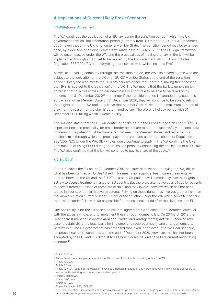# 4. Implications of Current Likely Brexit Scenarios

#### 4.1 Withdrawal Agreement

The WA continues the application of all EU law during the transition period,<sup>38</sup> which the UK government calls an 'implementation' period (currently from 31 October 2019 until 31 December 2020), even though the UK is no longer a Member State. The transition period may be extended once, by a decision of a 'Joint Committee'<sup>39</sup> made before 1 July 2020.40 The EU legal framework will be encompassed under the WA, and the practicalities of making that law in the UK will be implemented through an Act yet to be passed by the UK Parliament. All of EU law includes Regulation 883/2004/EC and everything that flows from it, which includes EHIC.

As well as providing continuity through the transition period, the WA also covers people who are subject to the legislation of the UK or an EU-27 Member States at the end of the transition period.41 Everyone who meets the UK's ordinary residence test therefore, having free access to the NHS, is 'subject to the legislation' of the UK. The WA means that the EU law upholding UK citizens' right to access cross-border healthcare will continue to be able to be relied on by patients until 31 December  $2020^{42}$  – or longer if the transition period is extended. If a patient is abroad in another Member State on 31 December 2020, they will continue to be able to rely on their rights under the WA until they leave that Member State.43 Neither the maximum duration of stay, nor the reason for the stay, is determined by law. Therefore, a holiday period with 31 December 2020 falling within it would qualify.

The WA also states that the UK will continue to take part in the EESSI during transition.<sup>44</sup> This is important because practically, for cross border healthcare to operate successfully, personal data concerning the patient must be transferred between the Member States, and because this mechanism is through which reciprocal payments are made under the scheme of Regulation 883/2004/EC. Under the WA, GDPR rules would continue to apply.45 The WA confirms the UK's continuation of using EESSI during the transition period by continuing the application of all EU law. The WA also confirms that the UK will continue to pay its share of the costs.<sup>46</sup>

#### 4.2 'No Deal'

If the UK leaves the EU on the 31 October 2019, or a later date, without ratifying the WA, this is what has been termed a 'No Deal' Brexit. This means no reciprocal healthcare agreements will operate between the UK and the EU-27 as a bloc. UK patients will immediately lose their rights in EU law to access treatment in another EU country. But there are alternative possibilities for patients to access treatment. None of these are certain, and they involve new law, which has not been tested in courts, or administrative structures. Relying on these rights thus involves greater risk than the known situation currently under EU law, or the situation under the WA which seeks to continue the position under EU law as far as possible for a transitional period after the UK leaves the EU.

One possibility is for the UK to secure bilateral agreements with each of the Member States, or with the EU as a whole, and to implement these through domestic law. On 23 March 2019 the Healthcare (European Economic Area and Switzerland Arrangements) Act 2019 received royal assent, establishing the legal basis for implementing reciprocal healthcare arrangements after Britain's exit. The UK government has proposed that, even in the event of a 'No Deal' scenario, reciprocal healthcare continues until the end of December 2020. However, this has not been accepted by the EU, and it is difficult to see how it could be, given the EU's current negotiating mandate.<sup>47</sup>

<sup>38</sup>Article 126 WA.

<sup>39</sup> An institution comprising representatives of the EU and the UK, established by Article 164 WA.

<sup>40</sup>Article 132 WA.

<sup>41</sup> Article 28 WA.

<sup>42</sup> Article 127 WA: 'Scope of the transition 1. Unless otherwise provided in this Agreement, Union law shall be applicable to and in the United Kingdom during the transition period'.

<sup>43</sup>Article 32(1)(c) WA.

<sup>44</sup>Article 32(2) WA. 45Article 126 WA.

<sup>46</sup>As per Regulation 997/2009/EC.

<sup>47</sup>NHS Confederation, 'Reciprocal Healthcare', available at: https://www.nhsconfed.org/regions-and-eu/nhs-european-office/ 10 brexit-and-the-nhs/brexit-implications-for-health-and-care/reciprocal-healthcare. Last accessed 1 August 2019.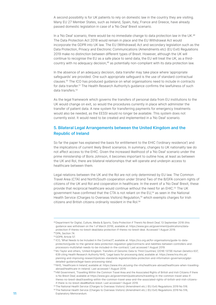A second possibility is for UK patients to rely on domestic law in the country they are visiting. Many EU 27 Member States, such as Ireland, Spain, Italy, France and Greece, have already passed domestic legislation in case of a 'No Deal' Brexit scenario.

In a 'No Deal' scenario, there would be no immediate change to data protection law in the UK.<sup>48</sup> The Data Protection Act 2018 would remain in place and the EU Withdrawal Act would incorporate the GDPR into UK law. The EU (Withdrawal) Act and secondary legislation such as the Data Protection, Privacy and Electronic Communications (Amendments etc) (EU Exit) Regulations 2019 make no distinction between different types of Brexit. However, although the UK will continue to recognise the EU as a safe place to send data, the EU will treat the UK, as a thirdcountry with no adequacy decision,<sup>49</sup> as potentially non-compliant with its data protection law.

In the absence of an adequacy decision, data transfer may take place where 'appropriate safeguards' are provided. One such appropriate safeguard is the use of standard contractual clauses.50 The ICO has produced guidance on what organisations need to include in contracts for data transfer.<sup>51</sup> The Health Research Authority's quidance confirms the lawfulness of such data transfers.<sup>52</sup>

As the legal framework which governs the transfers of personal data from EU institutions to the UK would change on exit, so would the procedures currently in place which administer the transfer of patient data. A new system for transferring payments for emergency treatments would also be needed, as the EESSI would no longer be available. This system does not currently exist. It would need to be created and implemented in a 'No Deal' scenario.

# 5. Bilateral Legal Arrangements between the United Kingdom and the Republic of Ireland

So far the paper has explained the basis for entitlement to the EHIC ('ordinary residence') and the implications of current likely Brexit scenarios. In summary, changes to UK nationality law do not affect access to the EHIC. Given the increased likelihood of a 'No Deal' scenario under the prime ministership of Boris Johnson, it becomes important to outline how, at least as between the UK and RoI, there are bilateral relationships that will operate and underpin access to healthcare between them.

Legal relations between the UK and the RoI are not only determined by EU law. The Common Travel Area (CTA) and North/South cooperation under Strand Two of the B/GFA concern rights of citizens of the UK and RoI and cooperation in healthcare. In the event of a 'No Deal' Brexit, these provide that reciprocal healthcare would continue without the need for an EHIC.53 The UK government have confirmed that the CTA is not reliant on the EU,54 as seen in the National Health Service (Charges to Overseas Visitors) Regulation,<sup>55</sup> which exempts charges for Irish citizens and British citizens ordinarily resident in the RoI.56

<sup>55</sup>The National Health Service (Charges to Overseas Visitors) (Amendment etc.) (EU Exit) Regulations 2019 No 516.

<sup>48</sup> Department for Digital, Culture, Media & Sports, 'Data Protection if There's No Brexit Deal', 13 September 2018 (this guidance was withdrawn on the 1 of March 2019), available at: https://www.gov.uk/government/publications/dataprotection-if-theres-no-brexit-deal/data-protection-if-theres-no-brexit-deal. Accessed 1 August 2019. <sup>49</sup>DPA, Section 74.

<sup>50</sup>GDPR, Article 57.

<sup>51</sup> ICO, 'What Needs to be Included in the Contract?', available at: https://ico.org.uk/for-organisations/guide-to-dataprotection/guide-to-the-general-data-protection-regulation-gdpr/contracts-and-liabilities-between-controllers-andprocessors-multi/what-needs-to-be-included-in-the-contract/. Last accessed 1 August 2019.

<sup>52</sup>MJ Taylor and others, 'United Kingdom: Transfers of Genomic Data to Third Countries', (2018) 137(8) Human Genetics 637, 639 citing Health Research Authority NHS, 'Legal basis for processing data', available at: https://www.hra.nhs.uk/ planning-and-improving-research/policies-standards-legislation/data-protection-and-information-governance/gdprdetailed-guidance/legal-basis-processing-data/.

<sup>53</sup>NHS, 'Healthcare in Ireland', available at: https://www.nhs.uk/using-the-nhs/healthcare-abroad/healthcare-when-travellingabroad/healthcare-in-ireland/. Last accessed 1 August 2019.

<sup>54</sup>HM Government, 'Travelling Within the Common Travel Area and the Associated Rights of British and Irish Citizens if there is No Brexit Deal', available at https://www.gov.uk/government/publications/travelling-in-the-common-travel-area-iftheres-no-brexit-deal/travelling-within-the-common-travel-area-and-the-associated-rights-of-british-and-irish-citizensif-there-is-no-brexit-deal#before-brexit. Last accessed 1 August 2019.

<sup>56</sup> The National Health Service (Charges to Overseas Visitors) (Amendment etc.) (EU Exit) Regulations 2019 No 516, 11 **Explanatory Memorandum.**